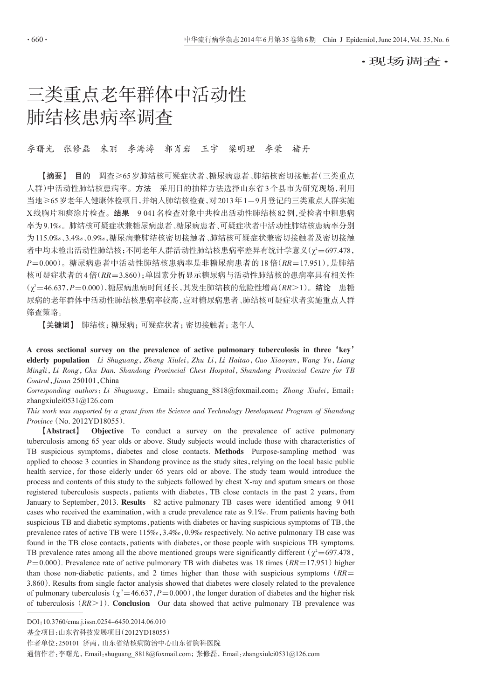·现场调查·

# 三类重点老年群体中活动性 肺结核患病率调查

李曙光 张修磊 朱丽 李海涛 郭肖岩 王宇 梁明理 李荣 褚丹

【摘要】 目的 调查≥65岁肺结核可疑症状者、糖尿病患者、肺结核密切接触者(三类重点 人群)中活动性肺结核患病率。方法 采用目的抽样方法选择山东省3个县市为研究现场,利用 当地≥65岁老年人健康体检项目,并纳入肺结核检查,对2013年1-9月登记的三类重点人群实施 X线胸片和痰涂片检查。结果 9 041名检查对象中共检出活动性肺结核82例,受检者中粗患病 率为9.1‰。肺结核可疑症状兼糖尿病患者、糖尿病患者、可疑症状者中活动性肺结核患病率分别 为115.0‰、3.4‰、0.9‰,糖尿病兼肺结核密切接触者、肺结核可疑症状兼密切接触者及密切接触 者中均未检出活动性肺结核;不同老年人群活动性肺结核患病率差异有统计学意义(χ²=697.478, P=0.000)。糖尿病患者中活动性肺结核患病率是非糖尿病患者的 18 倍(RR=17.951),是肺结 核可疑症状者的4倍(RR=3.860);单因素分析显示糖尿病与活动性肺结核的患病率具有相关性  $(\chi^2 = 46.637, P = 0.000)$ ,糖尿病患病时间延长,其发生肺结核的危险性增高(RR>1)。结论 患糖 尿病的老年群体中活动性肺结核患病率较高,应对糖尿病患者、肺结核可疑症状者实施重点人群 筛查策略。

【关键词】 肺结核;糖尿病;可疑症状者;密切接触者;老年人

A cross sectional survey on the prevalence of active pulmonary tuberculosis in three'key' elderly population Li Shuguang, Zhang Xiulei, Zhu Li, Li Haitao, Guo Xiaoyan, Wang Yu, Liang Mingli,Li Rong,Chu Dan. Shandong Provincial Chest Hospital,Shandong Provincial Centre for TB Control,Jinan 250101,China

Corresponding authors: Li Shuguang, Email: shuguang 8818@foxmail.com; Zhang Xiulei, Email: zhangxiulei0531@126.com

This work was supported by a grant from the Science and Technology Development Program of Shandong Province(No. 2012YD18055).

【Abstract】 Objective To conduct a survey on the prevalence of active pulmonary tuberculosis among 65 year olds or above. Study subjects would include those with characteristics of TB suspicious symptoms, diabetes and close contacts. Methods Purpose-sampling method was applied to choose 3 counties in Shandong province as the study sites,relying on the local basic public health service, for those elderly under 65 years old or above. The study team would introduce the process and contents of this study to the subjects followed by chest X-ray and sputum smears on those registered tuberculosis suspects, patients with diabetes, TB close contacts in the past 2 years, from January to September,2013. Results 82 active pulmonary TB cases were identified among 9 041 cases who received the examination, with a crude prevalence rate as  $9.1\%$ . From patients having both suspicious TB and diabetic symptoms, patients with diabetes or having suspicious symptoms of TB, the prevalence rates of active TB were 115‰,3.4‰,0.9‰ respectively. No active pulmonary TB case was found in the TB close contacts, patients with diabetes, or those people with suspicious TB symptoms. TB prevalence rates among all the above mentioned groups were significantly different ( $\chi^2$  = 697.478,  $P=0.000$ ). Prevalence rate of active pulmonary TB with diabetes was 18 times ( $RR=17.951$ ) higher than those non-diabetic patients, and 2 times higher than those with suspicious symptoms ( $RR=$ 3.860). Results from single factor analysis showed that diabetes were closely related to the prevalence of pulmonary tuberculosis ( $\chi^2$  = 46.637, P = 0.000), the longer duration of diabetes and the higher risk of tuberculosis  $(RR>1)$ . Conclusion Our data showed that active pulmonary TB prevalence was

DOI:10.3760/cma.j.issn.0254-6450.2014.06.010

基金项目:山东省科技发展项目(2012YD18055)

作者单位:250101 济南,山东省结核病防治中心山东省胸科医院

通信作者:李曙光,Email:shuguang\_8818@foxmail.com;张修磊,Email:zhangxiulei0531@126.com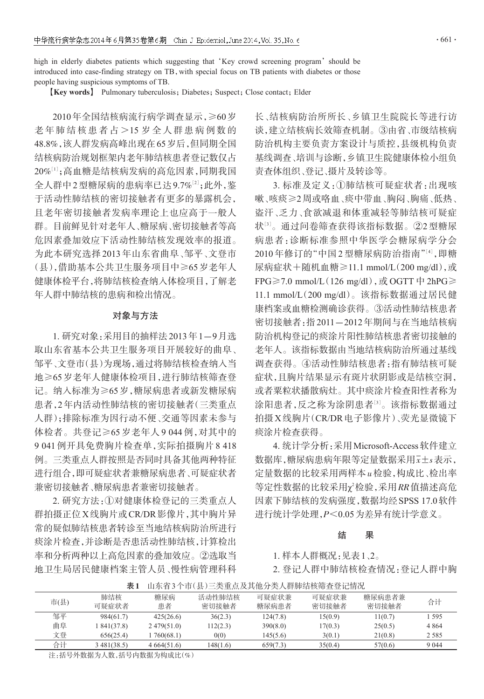$.661.$ 

high in elderly diabetes patients which suggesting that 'Key crowd screening program' should be introduced into case-finding strategy on TB,with special focus on TB patients with diabetes or those people having suspicious symptoms of TB.

**[Key words]** Pulmonary tuberculosis; Diabetes; Suspect; Close contact; Elder

2010年全国结核病流行病学调查显示,≥60岁 老年肺结核患者占 >15 岁全人群患病例数的 48.8%,该人群发病高峰出现在65岁后,但同期全国 结核病防治规划框架内老年肺结核患者登记数仅占 20%''';高血糖是结核病发病的高危因素,同期我国 全人群中2型糖尿病的患病率已达9.7%[2];此外,鉴 于活动性肺结核的密切接触者有更多的暴露机会, 且老年密切接触者发病率理论上也应高于一般人 群。目前鲜见针对老年人、糖尿病、密切接触者等高 危因素叠加效应下活动性肺结核发现效率的报道。 为此本研究选择 2013 年山东省曲阜、邹平、文登市 (县),借助基本公共卫生服务项目中≥65岁老年人 健康体检平台,将肺结核检查纳入体检项目,了解老 年人群中肺结核的患病和检出情况。

### 对象与方法

1. 研究对象:采用目的抽样法2013年1-9月选 取山东省基本公共卫生服务项目开展较好的曲阜、 邹平、文登市(县)为现场,通过将肺结核检查纳入当 地≥65岁老年人健康体检项目,进行肺结核筛查登 记。纳入标准为≥65岁,糖尿病患者或新发糖尿病 患者,2年内活动性肺结核的密切接触者(三类重点 人群);排除标准为因行动不便、交通等因素未参与 体检者。共登记≥65 岁老年人 9 044 例,对其中的 9 041 例开具免费胸片检查单,实际拍摄胸片 8 418 例。三类重点人群按照是否同时具备其他两种特征 进行组合,即可疑症状者兼糖尿病患者、可疑症状者 兼密切接触者、糖尿病患者兼密切接触者。

2. 研究方法:①对健康体检登记的三类重点人 群拍摄正位X线胸片或CR/DR影像片,其中胸片异 常的疑似肺结核患者转诊至当地结核病防治所进行 痰涂片检查,并诊断是否患活动性肺结核,计算检出 率和分析两种以上高危因素的叠加效应。②选取当 地卫生局居民健康档案主管人员、慢性病管理科科 长、结核病防治所所长、乡镇卫生院院长等进行访 谈,建立结核病长效筛查机制。③由省、市级结核病 防治机构主要负责方案设计与质控,县级机构负责 基线调查、培训与诊断,乡镇卫生院健康体检小组负 责查体组织、登记、摄片及转诊等。

3. 标准及定义:①肺结核可疑症状者:出现咳 嗽、咳痰≥2周或咯血、痰中带血、胸闷、胸痛、低热、 盗汗、乏力、食欲减退和体重减轻等肺结核可疑症 状'3'。通过问卷筛查获得该指标数据。②2 型糖尿 病患者:诊断标准参照中华医学会糖尿病学分会 2010年修订的"中国2型糖尿病防治指南"[4],即糖 尿病症状+随机血糖≥11.1 mmol/L(200 mg/dl),或 FPG $\geq$ 7.0 mmol/L(126 mg/dl),  $\vec{y}$ , OGTT  $\dot{\vec{y}}$  2hPG $\geq$ 11.1 mmol/L(200 mg/dl)。该指标数据通过居民健 康档案或血糖检测确诊获得。③活动性肺结核患者 密切接触者:指2011-2012年期间与在当地结核病 防治机构登记的痰涂片阳性肺结核患者密切接触的 老年人。该指标数据由当地结核病防治所通过基线 调查获得。④活动性肺结核患者:指有肺结核可疑 症状,且胸片结果显示有斑片状阴影或是结核空洞, 或者粟粒状播散病灶。其中痰涂片检查阳性者称为 涂阳患者,反之称为涂阴患者[3]。该指标数据通过 拍摄X线胸片(CR/DR电子影像片)、荧光显微镜下 痰涂片检查获得。

4. 统计学分析:采用Microsoft-Access软件建立 数据库,糖尿病患病年限等定量数据采用x±s表示, 定量数据的比较采用两样本u检验,构成比、检出率 等定性数据的比较采用χ<sup>2</sup>检验,采用RR值描述高危 因素下肺结核的发病强度,数据均经SPSS 17.0软件 进行统计学处理,P<0.05为差异有统计学意义。

#### 结 果

1. 样本人群概况:见表1、2。

2. 登记人群中肺结核检查情况:登记人群中胸

市(县) 邹平 曲阜 文登 合计 肺结核 可疑症状者 984(61.7) 1 841(37.8) 656(25.4) 3 481(38.5) 糖尿病 患者 425(26.6) 2 479(51.0) 1 760(68.1) 4 664(51.6) 活动性肺结核 密切接触者 36(2.3) 112(2.3) 0(0) 148(1.6) 可疑症状兼 糖尿病患者 124(7.8) 390(8.0) 145(5.6) 659(7.3) 可疑症状兼 密切接触者 15(0.9) 17(0.3) 3(0.1) 35(0.4) 糖尿病患者兼 密切接触者 11(0.7)  $25(0.5)$ 21(0.8) 57(0.6) 合计 1 595 4 864 2 585 9 044

表1 山东省3个市(县)三类重点及其他分类人群肺结核筛查登记情况

注:括号外数据为人数,括号内数据为构成比(%)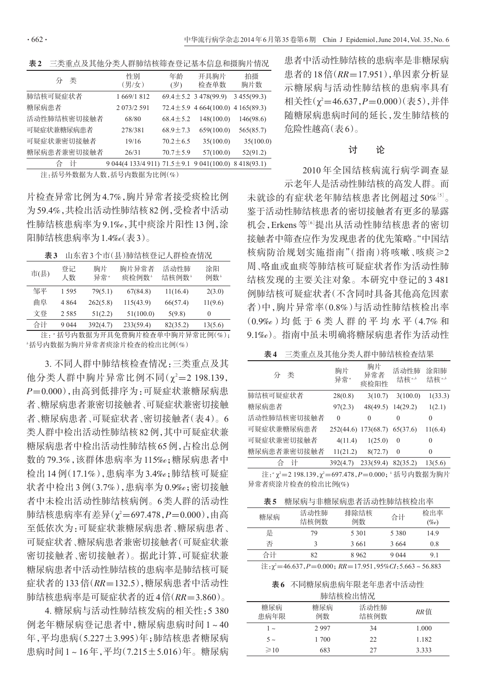表2 三类重点及其他分类人群肺结核筛查登记基本信息和摄胸片情况

| 类<br>分      | 性别<br>(男/女)                                                | 年龄<br>(岁)      | 开具胸片<br>检查单数                            | 拍摄<br>胸片数    |
|-------------|------------------------------------------------------------|----------------|-----------------------------------------|--------------|
| 肺结核可疑症状者    | 1 669/1 812                                                |                | $69.4 \pm 5.2$ 3 478(99.9)              | 3 455 (99.3) |
| 糖尿病患者       | 2 073/2 591                                                |                | $72.4 \pm 5.9$ 4 664(100.0) 4 165(89.3) |              |
| 活动性肺结核密切接触者 | 68/80                                                      | $68.4 \pm 5.2$ | 148(100.0)                              | 146(98.6)    |
| 可疑症状兼糖尿病患者  | 278/381                                                    | $68.9 \pm 7.3$ | 659(100.0)                              | 565(85.7)    |
| 可疑症状兼密切接触者  | 19/16                                                      | $70.2 \pm 6.5$ | 35(100.0)                               | 35(100.0)    |
| 糖尿病患者兼密切接触者 | 26/31                                                      | $70.7 \pm 5.9$ | 57(100.0)                               | 52(91.2)     |
| 计<br>合      | 9 044(4 133/4 911) $71.5 \pm 9.1$ 9 041(100.0) 8 418(93.1) |                |                                         |              |

注:括号外数据为人数,括号内数据为比例(%)

片检查异常比例为4.7%,胸片异常者接受痰检比例 为59.4%,共检出活动性肺结核82例,受检者中活动 性肺结核患病率为9.1‰,其中痰涂片阳性13例,涂 阳肺结核患病率为1.4‰(表3)。

| 市(县) | 登记<br>人数 | 胸片<br>异常" | 胸片异常者<br>痰检例数 <sup>。</sup> | 活动性肺<br>结核例数 <sup>。</sup> | 涂阳<br>例数 <sup>。</sup> |
|------|----------|-----------|----------------------------|---------------------------|-----------------------|
| 邹平   | 1.595    | 79(5.1)   | 67(84.8)                   | 11(16.4)                  | 2(3.0)                |
| 曲阜   | 4 864    | 262(5.8)  | 115(43.9)                  | 66(57.4)                  | 11(9.6)               |
| 文登   | 2.585    | 51(2.2)   | 51(100.0)                  | 5(9.8)                    | $\theta$              |
| 合计   | 9 0 4 4  | 392(4.7)  | 233(59.4)                  | 82(35.2)                  | 13(5.6)               |

注:"括号内数据为开具免费胸片检查单中胸片异常比例(%); b 括号内数据为胸片异常者痰涂片检查的检出比例(%)

3. 不同人群中肺结核检查情况:三类重点及其 他分类人群中胸片异常比例不同(χ2=2198.139, P=0.000),由高到低排序为:可疑症状兼糖尿病患 者、糖尿病患者兼密切接触者、可疑症状兼密切接触 者、糖尿病患者、可疑症状者、密切接触者(表4)。6 类人群中检出活动性肺结核82例,其中可疑症状兼 糖尿病患者中检出活动性肺结核65例,占检出总例 数的 79.3%,该群体患病率为 115‰;糖尿病患者中 检出 14 例(17.1%),患病率为 3.4‰;肺结核可疑症 状者中检出 3 例(3.7%),患病率为 0.9‰;密切接触 者中未检出活动性肺结核病例。6类人群的活动性 肺结核患病率有差异(χ²=697.478,*P*=0.000),由高 至低依次为:可疑症状兼糖尿病患者、糖尿病患者、 可疑症状者、糖尿病患者兼密切接触者(可疑症状兼 密切接触者、密切接触者)。据此计算,可疑症状兼 糖尿病患者中活动性肺结核的患病率是肺结核可疑 症状者的133倍(RR=132.5),糖尿病患者中活动性 肺结核患病率是可疑症状者的近4倍(RR=3.860)。

4. 糖尿病与活动性肺结核发病的相关性:5 380 例老年糖尿病登记患者中,糖尿病患病时间 1~40 年,平均患病(5.227±3.995)年;肺结核患者糖尿病 患病时间1~16年,平均(7.215±5.016)年。糖尿病

患者中活动性肺结核的患病率是非糖尿病 患者的18倍(RR=17.951),单因素分析显 示糖尿病与活动性肺结核的患病率具有 相关性(χ'=46.637,*P*=0.000)(表5),并伴 随糖尿病患病时间的延长,发生肺结核的 危险性越高(表6)。

#### 讨 论

2010 年全国结核病流行病学调查显 示老年人是活动性肺结核的高发人群。而 未就诊的有症状老年肺结核患者比例超过 50%[5]。 鉴于活动性肺结核患者的密切接触者有更多的暴露 机会,Erkens等<sup>[6]</sup>提出从活动性肺结核患者的密切 接触者中筛查应作为发现患者的优先策略。"中国结 核病防治规划实施指南"(指南)将咳嗽、咳痰≥2

周、咯血或血痰等肺结核可疑症状者作为活动性肺 结核发现的主要关注对象。本研究中登记的3 481 例肺结核可疑症状者(不含同时具备其他高危因素 者)中,胸片异常率(0.8%)与活动性肺结核检出率 (0.9‰)均 低 于 6 类 人 群 的 平 均 水 平(4.7% 和 9.1‰)。指南中虽未明确将糖尿病患者作为活动性

表4 三类重点及其他分类人群中肺结核检查结果

| 类<br>分      | 胸片<br>异常" | 胸片<br>异常者<br>痰检阳性 | 活动性肺<br>结核" | 涂阳肺<br>结核" |
|-------------|-----------|-------------------|-------------|------------|
| 肺结核可疑症状者    | 28(0.8)   | 3(10.7)           | 3(100.0)    | 1(33.3)    |
| 糖尿病患者       | 97(2.3)   | 48(49.5)          | 14(29.2)    | 1(2.1)     |
| 活动性肺结核密切接触者 | $\Omega$  | $\Omega$          | $\theta$    | $\theta$   |
| 可疑症状兼糖尿病患者  | 252(44.6) | 173(68.7)         | 65(37.6)    | 11(6.4)    |
| 可疑症状兼密切接触者  | 4(11.4)   | 1(25.0)           | $\Omega$    | 0          |
| 糖尿病患者兼密切接触者 | 11(21.2)  | 8(72.7)           | $\theta$    | $\theta$   |
| 合<br>计      | 392(4.7)  | 233(59.4)         | 82(35.2)    | 13(5.6)    |

注: " $\chi^2$ =2 198.139, $\chi^2$ =697.478, $P$ =0.000; '括号内数据为胸片 异常者痰涂片检查的检出比例(%)

表5 糖尿病与非糖尿病患者活动性肺结核检出率

| 糖尿病                                                                                | 活动性肺<br>结核例数 | 排除结核<br>例数 | 合计      | 检出率<br>$(\%o)$ |
|------------------------------------------------------------------------------------|--------------|------------|---------|----------------|
| 是                                                                                  | 79           | 5 3 0 1    | 5 3 8 0 | 14.9           |
| 否                                                                                  |              | 3661       | 3664    | 0.8            |
| 合计                                                                                 | 82           | 8962       | 9 0 4 4 | 91             |
| $\hat{\mathbb{E}}$ : $\gamma^2$ =46.637, P=0.000; RR=17.951, 95%CI: 5.663 ~ 56.883 |              |            |         |                |

表6 不同糖尿病患病年限老年患者中活动性 肺结核检出情况

| /リ'アーーエ-1:ス 1:!!! 1:! リロー |           |              |       |  |
|---------------------------|-----------|--------------|-------|--|
| 糖尿病<br>患病年限               | 糖尿病<br>例数 | 活动性肺<br>结核例数 | RR 值  |  |
| $\sim$                    | 2997      | 34           | 1.000 |  |
| $5 -$                     | 1 700     | 22           | 1.182 |  |
| $\geq 10$                 | 683       | 27           | 3.333 |  |